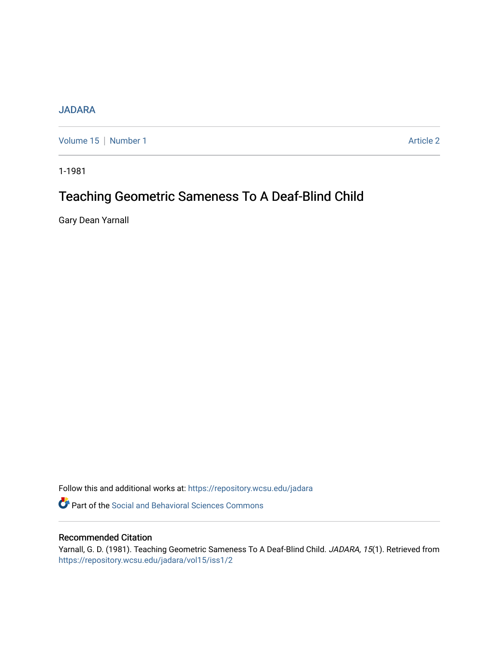# [JADARA](https://repository.wcsu.edu/jadara)

[Volume 15](https://repository.wcsu.edu/jadara/vol15) | [Number 1](https://repository.wcsu.edu/jadara/vol15/iss1) Article 2

1-1981

# Teaching Geometric Sameness To A Deaf-Blind Child

Gary Dean Yarnall

Follow this and additional works at: [https://repository.wcsu.edu/jadara](https://repository.wcsu.edu/jadara?utm_source=repository.wcsu.edu%2Fjadara%2Fvol15%2Fiss1%2F2&utm_medium=PDF&utm_campaign=PDFCoverPages)

**P** Part of the Social and Behavioral Sciences Commons

# Recommended Citation

Yarnall, G. D. (1981). Teaching Geometric Sameness To A Deaf-Blind Child. JADARA, 15(1). Retrieved from [https://repository.wcsu.edu/jadara/vol15/iss1/2](https://repository.wcsu.edu/jadara/vol15/iss1/2?utm_source=repository.wcsu.edu%2Fjadara%2Fvol15%2Fiss1%2F2&utm_medium=PDF&utm_campaign=PDFCoverPages)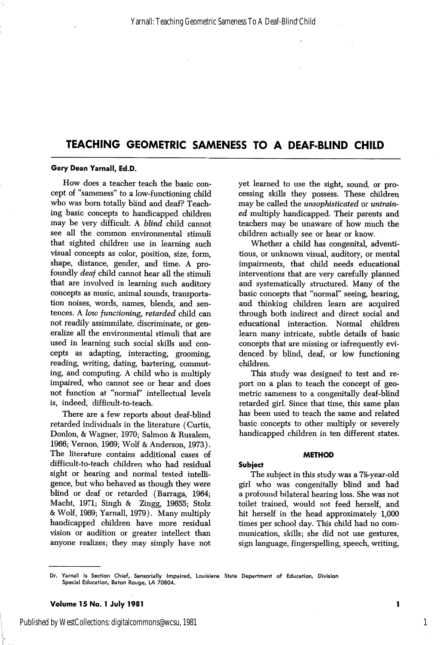#### Gary Dean Yarnall, Ed.D.

How does a teacher teach the basic con cept of "sameness" to a low-functioning child who was born totally blind and deaf? Teach ing basic concepts to handicapped children may be very difficult. A blind child cannot see all the common environmental stimuli that sighted children use in learning such visual concepts as color, position, size, form, shape, distance, gender, and time. A pro foundly deaf child cannot hear all the stimuli that are involved in learning such auditory concepts as music, animal sounds, transporta tion noises, words, names, blends, and sen tences. A low functioning, retarded child can not readily assimmilate, discriminate, or gen eralize all the environmental stimuli that are used in learning such social skills and con cepts as adapting, interacting, grooming, reading, writing, dating, bartering, commut ing, and computing. A child who is multiply impaired, who cannot see or hear and does not function at "normal" intellectual levels is, indeed, difficult-to-teach.

There are a few reports about deaf-blind retarded individuals in the literature (Curtis, Donlon, & Wagner, 1970; Salmon & Rusalem, 1966; Vernon, 1969; Wolf & Anderson, 1973). The literature contains additional cases of difficult-to-teach children who had residual sight or hearing and normal tested intelli gence, but who behaved as though they were blind or deaf or retarded (Barraga, 1964; Macht, 1971; Singh & Zingg, 19655; Stolz & Wolf, 1969; Yarnall, 1979). Many multiply handicapped children have more residual vision or audition or greater intellect than anyone realizes; they may simply have not

yet learned to use the sight, sound, or pro cessing skills they possess. These children may be called the unsophisticated or untrain ed multiply handicapped. Their parents and teachers may be unaware of how much the children actually see or hear or know.

Whether a child has congenital, adventi tious, or unknown visual, auditory, or mental impairments, that child needs educational interventions that are very carefully planned and systematically structured. Many of the basic concepts that "normal" seeing, hearing, and thinking children learn are acquired through both indirect and direct social and educational interaction. Normal children learn many intricate, subtle details of basic concepts that are missing or infrequently evi denced by blind, deaf, or low functioning children.

This study was designed to test and re port on a plan to teach the concept of geo metric sameness to a congenitally deaf-blind retarded girl. Since that time, this same plan has been used to teach the same and related basic concepts to other multiply or severely handicapped children in ten different states.

#### METHOD

# Subject

The subject in this study was a 7<sup>12</sup>-year-old girl who was congenitally blind and had a profound bilateral hearing loss. She was not toilet trained, would not feed herself, and hit herself in the head approximately 1,000 times per school day. This child had no com munication, skills; she did not use gestures, sign language, fingerspelling, speech, writing.

Published by WestCollections: digitalcommons@wcsu, 1981

1

Dr. Yarnall is Section Chief, Sensorially Impaired, Louisiana State Department of Education, Division Special Education, Baton Rouge, LA 70804.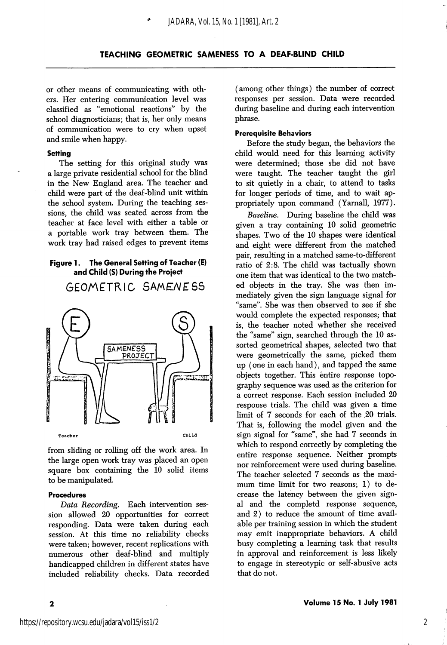or other means of communicating with oth ers. Her entering communication level was classified as "emotional reactions" by the school diagnosticians; that is, her only means of communication were to cry when upset and smile when happy.

## **Setting**

The setting for this original study was a large private residential school for the blind in the New England area. The teacher and child were part of the deaf-blind unit within the school system. During the teaching ses sions, the child was seated across from the teacher at face level with either a table or a portable work tray between them. The work tray had raised edges to prevent items

# Figure 1. The General Setting of Teacher (E) and Child (S) During the Project

GEOMETRIC SAMENESS



from sliding or rolling off the work area. In the large open work tray was placed an open square box containing the 10 solid items to be manipulated.

#### Procedures

Data Recording. Each intervention ses sion allowed 20 opportunities for correct responding. Data were taken during each session. At this time no reliability checks were taken; however, recent replications with numerous other deaf-blind and multiply handicapped children in different states have included reliability checks. Data recorded

 $\overline{\mathbf{2}}$ 

(among other things) the number of correct responses per session. Data were recorded during baseline and during each intervention phrase.

#### Prerequisite Behaviors

Before the study began, the behaviors the child would need for this learning activity were determined; those she did not have were taught. The teacher taught the girl to sit quietly in a chair, to attend to tasks for longer periods of time, and to wait ap propriately upon command (Yarnall, 1977).

Baseline. During baseline the child was given a tray containing 10 solid geometric shapes. Two of the 10 shapes were identical and eight were different from the matched pair, resulting in a matched same-to-different ratio of 2:8. The child was tactually shown one item that was identical to the two match ed objects in the tray. She was then im mediately given the sign language signal for "same". She was then observed to see if she would complete the expected responses; that is, the teacher noted whether she received the "same" sign, searched through the 10 as sorted geometrical shapes, selected two that were geometrically the same, picked them up (one in each hand), and tapped the same objects together. This entire response topo graphy sequence was used as the criterion for a correct response. Each session included 20 response trials. The child was given a time limit of 7 seconds for each of the 20 trials. That is, following the model given and the sign signal for "same", she had 7 seconds in which to respond correctly by completing the entire response sequence. Neither prompts nor reinforcement were used during baseline. The teacher selected 7 seconds as the maxi mum time limit for two reasons; 1) to de crease the latency between the given sign al and the completd response sequence, and 2) to reduce the amount of time avail able per training session in which the student may emit inappropriate behaviors. A child busy completing a learning task that results in approval and reinforcement is less likely to engage in stereotypic or self-abusive acts that do not.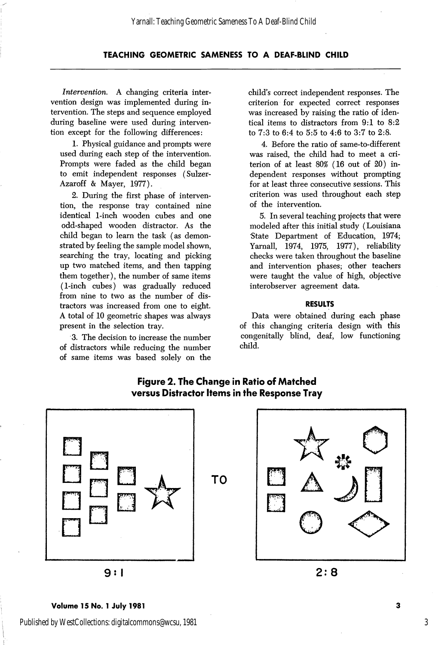Intervention. A changing criteria inter vention design was implemented during in tervention. The steps and sequence employed during baseline were used during interven tion except for the following differences:

1. Physical guidance and prompts were used during each step of the intervention. Prompts were faded as the child began to emit independent responses (Sulzer-Azaroff & Mayer, 1977).

2. During the first phase of interven tion, the response tray contained nine identical 1-inch wooden cubes and one odd-shaped wooden distractor. As the child began to learn the task (as demon strated by feeling the sample model shown, searching the tray, locating and picking up two matched items, and then tapping them together), the number of same items (1-inch cubes) was gradually reduced from nine to two as the number of distractors was increased from one to eight. A total of 10 geometric shapes was always present in the selection tray.

3. The decision to increase the number of distractors while reducing the number of same items was based solely on the

child's correct independent responses. The criterion for expected correct responses was increased by raising the ratio of iden tical items to distractors from 9:1 to 8:2 to 7:3 to 6:4 to 5:5 to 4:6 to 3:7 to 2:8.

4. Before the ratio of same-to-different was raised, the child had to meet a cri terion of at least 80% (16 out of 20) in dependent responses without prompting for at least three consecutive sessions. This criterion was used throughout each step of the intervention.

5. In several teaching projects that were modeled after this initial study (Louisiana State Department of Education, 1974; Yarnall, 1974, 1975, 1977), reliability checks were taken throughout the baseline and intervention phases; other teachers were taught the value of high, objective interobserver agreement data.

# RESULTS

Data were obtained during each phase of this changing criteria design with this congenitally blind, deaf, low functioning child.



# Figure 2. The Change in Ratio of Matched versus Distractor Items in the Response Tray

9: <sup>1</sup>

 $2:8$ 

#### Volume 15 No. 1 July 1981

Published by WestCollections: digitalcommons@wcsu, 1981

 $\overline{\mathbf{3}}$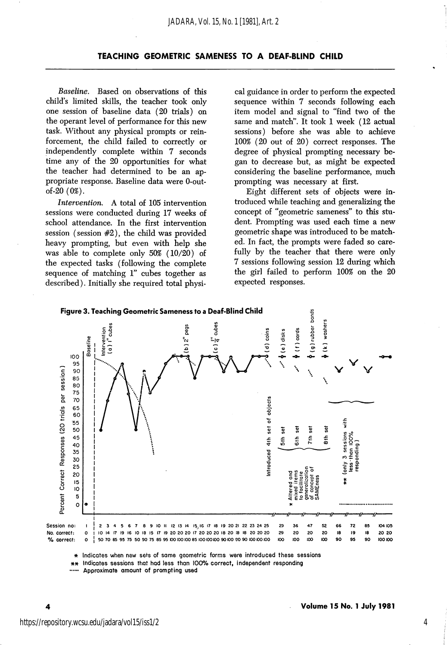Baseline. Based on observations of this child's limited skills, the teacher took only one session of baseline data (20 trials) on the operant level of performance for this new task. Without any physical prompts or rein forcement, the child failed to correctly or independently complete within 7 seconds time any of the 20 opportunities for what the teacher had determined to be an ap propriate response. Baseline data were 0-outof-20 (0%).

Intervention. A total of 105 intervention sessions were conducted during 17 weeks of school attendance. In the first intervention session (session #2), the child was provided heavy prompting, but even with help she was able to complete only 50% (10/20) of the expected tasks (following the complete sequence of matching 1" cubes together as described). Initially she required total physi

cal guidance in order to perform the expected sequence within 7 seconds following each item model and signal to "find two of the same and match". It took 1 week (12 actual sessions) before she was able to achieve 100% (20 out of 20) correct responses. The degree of physical prompting necessary be gan to decrease but, as might be expected considering the baseline performance, much prompting was necessary at first.

Eight different sets of objects were in troduced while teaching and generalizing the concept of "geometric sameness" to this stu dent. Prompting was used each time a new geometric shape was introduced to be match ed. In fact, the prompts were faded so care fully by the teacher that there were only 7 sessions following session 12 during which the girl failed to perform 100% on the 20 expected responses.



Indicates sessions that had less than 100% correct, independent responding

Approximate amount of prompting used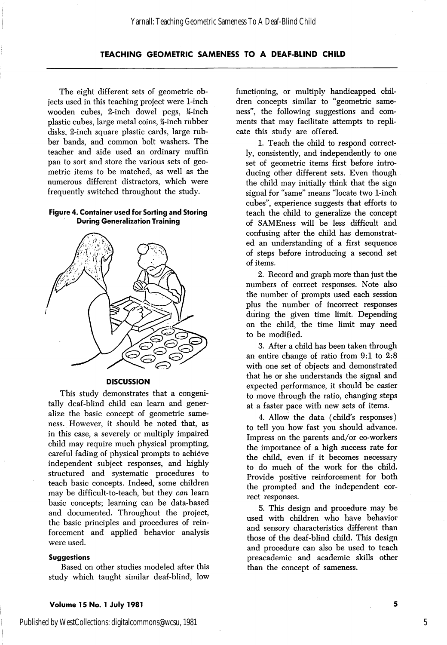The eight different sets of geometric ob jects used in this teaching project were 1-inch wooden cubes, 2-inch dowel pegs, K-inch plastic cubes, large metal coins, ¥-inch rubber disks, 2-inch square plastic cards, large rub ber bands, and common bolt washers. The teacher and aide used an ordinary muffin pan to sort and store the various sets of geo metric items to be matched, as well as the numerous different distractors, which were frequently switched throughout the study.

# Figure 4. Container used for Sorting and Storing During Generalization Training



#### **DISCUSSION**

This study demonstrates that a congenitally deaf-blind child can learn and gener alize the basic concept of geometric same ness. However, it should be noted that, as in this case, a severely or multiply impaired child may require much physical prompting, careful fading of physical prompts to achieve independent subject responses, and highly structured and systematic procedures to teach basic concepts. Indeed, some children may be difficult-to-teach, but they can learn basic concepts; learning can be data-based and documented. Throughout the project, the basic principles and procedures of rein forcement and applied behavior analysis were used.

#### **Suggestions**

Based on other studies modeled after this study which taught similar deaf-blind, low functioning, or multiply handicapped chil dren concepts similar to "geometric same ness", the following suggestions and com ments that may facilitate attempts to repli cate this study are offered.

1. Teach the child to respond correct ly, consistently, and independently to one set of geometric items first before intro ducing other different sets. Even though the child may initially think that the sign signal for "same" means "locate two 1-inch cubes", experience suggests that efforts to teach the child to generalize the concept of SAMEness will be less difficult and confusing after the child has demonstrat ed an understanding of a first sequence of steps before introducing a second set of items.

2. Record and graph more than just the numbers of correct responses. Note also the number of prompts used each session plus the number of incorrect responses during the given time limit. Depending on the child, the time limit may need to be modified.

3. After a child has been taken through an entire change of ratio from 9:1 to 2:8 with one set of objects and demonstrated that he or she understands the signal and expected performance, it should be easier to move through the ratio, changing steps at a faster pace with new sets of items.

4. Allow the data (child's responses) to tell you how fast you should advance. Impress on the parents and/or co-workers the importance of a high success rate for the child, even if it becomes necessary to do much of the work for the child. Provide positive reinforcement for both the prompted and the independent cor rect responses.

5. This design and procedure may be used with children who have behavior and sensory characteristics different than those of the deaf-blind child. This design and procedure can also be used to teach preacademic and academic skills other than the concept of sameness.